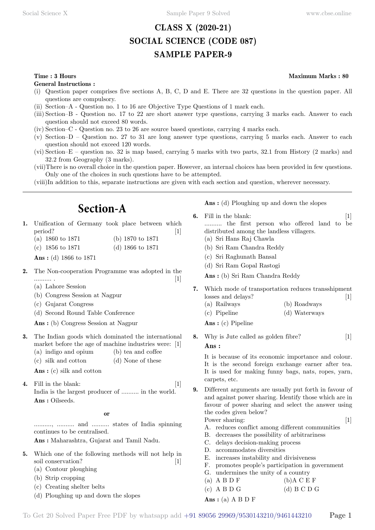### **CLASS X (2020-21) SOCIAL SCIENCE (CODE 087) SAMPLE PAPER-9**

#### **Time : 3 Hours Maximum Marks : 80**

**General Instructions :**

- (i) Question paper comprises five sections A, B, C, D and E. There are 32 questions in the question paper. All questions are compulsory.
- (ii) Section–A Question no. 1 to 16 are Objective Type Questions of 1 mark each.
- (iii) Section–B Question no. 17 to 22 are short answer type questions, carrying 3 marks each. Answer to each question should not exceed 80 words.
- (iv) Section–C Question no. 23 to 26 are source based questions, carrying 4 marks each.
- (v) Section–D Question no. 27 to 31 are long answer type questions, carrying 5 marks each. Answer to each question should not exceed 120 words.
- (vi) Section–E question no. 32 is map based, carrying 5 marks with two parts, 32.1 from History (2 marks) and 32.2 from Geography (3 marks).
- (vii)There is no overall choice in the question paper. However, an internal choices has been provided in few questions. Only one of the choices in such questions have to be attempted.
- (viii)In addition to this, separate instructions are given with each section and question, wherever necessary.

## **Section-A**

- **1.** Unification of Germany took place between which period? [1]
	- (a) 1860 to 1871 (b) 1870 to 1871 (c) 1856 to 1871 (d) 1866 to 1871

 **Ans :** (d) 1866 to 1871

- **2.** The Non-cooperation Programme was adopted in the .......... . [1]
	- (a) Lahore Session
	- (b) Congress Session at Nagpur
	- (c) Gujarat Congress
	- (d) Second Round Table Conference

 **Ans :** (b) Congress Session at Nagpur

- **3.** The Indian goods which dominated the international market before the age of machine industries were: [1] (a) indigo and opium (b) tea and coffee
	- (c) silk and cotton (d) None of these

 **Ans :** (c) silk and cotton

**4.** Fill in the blank: [1] India is the largest producer of .......... in the world.  **Ans :** Oilseeds.

#### **o**

.........., .......... and .......... states of India spinning continues to be centralised.

 **Ans :** Maharashtra, Gujarat and Tamil Nadu.

- **5.** Which one of the following methods will not help in soil conservation? [1]
	- (a) Contour ploughing
	- (b) Strip cropping
	- (c) Creating shelter belts
	- (d) Ploughing up and down the slopes

 **Ans :** (d) Ploughing up and down the slopes

- **6.** Fill in the blank: [1] .......... the first person who offered land to be distributed among the landless villagers. (a) Sri Hans Raj Chawla (b) Sri Ram Chandra Reddy (c) Sri Raghunath Bansal
	- (d) Sri Ram Gopal Rastogi

 **Ans :** (b) Sri Ram Chandra Reddy

- **7.** Which mode of transportation reduces transshipment losses and delays? [1]
	- (a) Railways (b) Roadways (c) Pipeline (d) Waterways

 **Ans :** (c) Pipeline

**8.** Why is Jute called as golden fibre? [1]

#### **Ans :**

It is because of its economic importance and colour. It is the second foreign exchange earner after tea. It is used for making funny bags, nats, ropes, yarn, carpets, etc.

**9.** Different arguments are usually put forth in favour of and against power sharing. Identify those which are in favour of power sharing and select the answer using the codes given below?

Power sharing: [1]

- 
- A. reduces conflict among different communities B. decreases the possibility of arbitrariness
- C. delays decision-making process
- D. accommodates diversities
- E. increases instability and divisiveness
- F. promotes people's participation in government
- G. undermines the unity of a country
- (a)  $A B D F$  (b) $A C E F$ (c) A B D G (d) B C D G
- **Ans :** (a) A B D F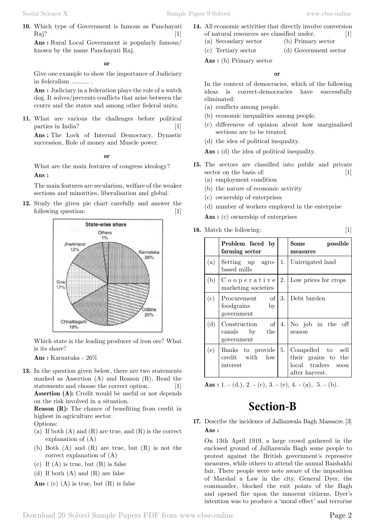**10.** Which type of Government is famous as Panchayati  $\text{Raj?}$  [1]

 **Ans :** Rural Local Government is popularly famous/ known by the name Panchayati Raj.

 **o**

Give one example to show the importance of Judiciary in federalism .......... .

 **Ans :** Judiciary in a federation plays the role of a watch dog. It solves/prevents conflicts that arise between the centre and the states and among other federal units.

**11.** What are various the challenges before political parties in India? [1]

 **Ans :** The Lock of Internal Democracy, Dynastic succession, Role of money and Muscle power.

 **o**

What are the main features of congress ideology?  **Ans :**

The main features are secularism, welfare of the weaker sections and minorities, liberalisation and global.

**12.** Study the given pie chart carefully and answer the following question: [1]



Which state is the leading producer of iron ore? What is its share?

 **Ans :** Karnataka - 26%

**13.** In the question given below, there are two statements marked as Assertion (A) and Reason (R). Read the statements and choose the correct option. [1] **Assertion (A):** Credit would be useful or not depends on the risk involved in a situation.

**Reason (R):** The chance of benefiting from credit in highest in agriculture sector.

Options:

- (a) If both  $(A)$  and  $(R)$  are true, and  $(R)$  is the correct explanation of (A)
- (b) Both (A) and (R) are true, but (R) is not the correct explanation of (A)
- (c) If  $(A)$  is true, but  $(R)$  is false
- (d) If both (A) and (R) are false

 **Ans :** (c) (A) is true, but (R) is false

- **14.** All economic activities that directly involve conversion of natural resources are classified under. [1] (a) Secondary sector (b) Primary sector
	- (c) Tertiary sector (d) Government sector

 **Ans :** (b) Primary sector

 **o**

In the context of democracies, which of the following ideas is correct-democracies have successfully eliminated:

- (a) conflicts among people.
- (b) economic inequalities among people.
- (c) differences of opinion about how marginalised sections are to be treated.
- (d) the idea of political inequality.

 **Ans :** (d) the idea of political inequality.

- **15.** The sectors are classified into public and private sector on the basis of: [1]
	- (a) employment condition
	- (b) the nature of economic activity
	- (c) ownership of enterprises
	- (d) number of workers employed in the enterprise
	- **Ans :** (c) ownership of enterprises
- **16.** Match the following: [1]

|     | Problem faced by<br>farming sector              |    | Some<br>possible<br>measures                                                     |
|-----|-------------------------------------------------|----|----------------------------------------------------------------------------------|
| (a) | Setting up agro-<br>based mills                 | 1. | Unirrigated land                                                                 |
| (b) | C o o p e r a t i v e<br>marketing societies    | 2. | Low prices for crops                                                             |
| (c) | Procurement of<br>foodgrains by<br>government   | 3. | Debt burden                                                                      |
| (d) | Construction of<br>canals by the<br>government  | 4. | No job in the off<br>season                                                      |
| (e) | Banks to provide<br>credit with low<br>interest | 5. | Compelled to sell<br>their grains to the<br>local traders soon<br>after harvest. |

 **Ans :** 1. - (d.), 2. - (c), 3. - (e), 4. - (a), 5. - (b).

# **Section-B**

**17.** Describe the incidence of Jallianwala Bagh Massacre.[3]  **Ans :**

On 13th April 1919, a large crowd gathered in the enclosed ground of Jallianwala Bagh some people to protest against the British government's repressive measures, while others to attend the annual Baishakhi fair. There people were note aware of the imposition of Marshal a Law in the city. General Dyer, the commander, blocked the exit points of the Bagh and opened fire upon the innocent citizens. Dyer's intention was to produce a 'moral effect' and terrorise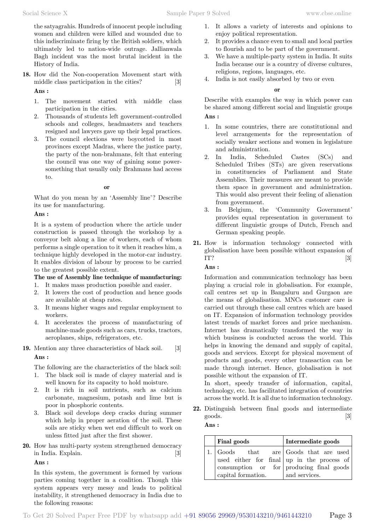the satyagrahis. Hundreds of innocent people including women and children were killed and wounded due to this indiscriminate firing by the British soldiers, which ultimately led to nation-wide outrage. Jallianwala Bagh incident was the most brutal incident in the History of India.

- **18.** How did the Non-cooperation Movement start with middle class participation in the cities? [3]  **Ans :**
	- 1. The movement started with middle class participation in the cities.
	- 2. Thousands of students left government-controlled schools and colleges, headmasters and teachers resigned and lawyers gave up their legal practices.
	- 3. The council elections were boycotted in most provinces except Madras, where the justice party, the party of the non-brahmans, felt that entering the council was one way of gaining some powersomething that usually only Brahmans had access to.

#### **o**

What do you mean by an 'Assembly line'? Describe its use for manufacturing.

#### **Ans :**

It is a system of production where the article under construction is passed through the workshop by a conveyor belt along a line of workers, each of whom performs a single operation to it when it reaches him, a technique highly developed in the motor-car industry. It enables division of labour by process to be carried to the greatest possible extent.

### **The use of Assembly line technique of manufacturing:**

- 1. It makes mass production possible and easier.
- 2. It lowers the cost of production and hence goods are available at cheap rates.
- 3. It means higher wages and regular employment to workers.
- 4. It accelerates the process of manufacturing of machine-made goods such as cars, trucks, tractors, aeroplanes, ships, refrigerators, etc.
- **19.** Mention any three characteristics of black soil. [3]

### **Ans :**

The following are the characteristics of the black soil:

- 1. The black soil is made of clayey material and is well known for its capacity to hold moisture.
- 2. It is rich in soil nutrients, such as calcium carbonate, magnesium, potash and lime but is poor in phosphoric contents.
- 3. Black soil develops deep cracks during summer which help in proper aeration of the soil. These soils are sticky when wet end difficult to work on unless fitted just after the first shower.
- **20.** How has multi-party system strengthened democracy in India. Explain. [3]

 **Ans :**

In this system, the government is formed by various parties coming together in a coalition. Though this system appears very messy and leads to political instability, it strengthened democracy in India due to the following reasons:

- 1. It allows a variety of interests and opinions to enjoy political representation.
- 2. It provides a chance even to small and local parties to flourish and to be part of the government.
- 3. We have a multiple-party system in India. It suits India because our is a country of diverse cultures, religions, regions, languages, etc.
- 4. India is not easily absorbed by two or even

#### **o**

Describe with examples the way in which power can be shared among different social and linguistic groups

### **Ans :**

- 1. In some countries, there are constitutional and level arrangements for the representation of socially weaker sections and women in legislature and administration.
- 2. In India, Scheduled Castes (SCs) and Scheduled Tribes (STs) are given reservations in constituencies of Parliament and State Assemblies. Their measures are meant to provide them space in government and administration. This would also prevent their feeling of alienation from government.
- 3. In Belgium, the 'Community Government' provides equal representation in government to different linguistic groups of Dutch, French and German speaking people.
- **21.** How is information technology connected with globalisation have been possible without expansion of IT?  $\qquad \qquad \textbf{[3]}$

#### **Ans :**

Information and communication technology has been playing a crucial role in globalisation. For example, call centres set up in Bangaluru and Gurgaon are the means of globalisation. MNCs customer care is carried out through these call centres which are based on IT. Expansion of information technology provides latest trends of market forces and price mechanism. Internet has dramatically transformed the way in which business is conducted across the world. This helps in knowing the demand and supply of capital, goods and services. Except for physical movement of products and goods, every other transaction can be made through internet. Hence, globalisation is not possible without the expansion of IT.

In short, speedy transfer of information, capital, technology, etc. has facilitated integration of countries across the world. It is all due to information technology.

**22.** Distinguish between final goods and intermediate goods. [3]

#### **Ans :**

| <b>Final goods</b>                    | Intermediate goods                                     |  |  |
|---------------------------------------|--------------------------------------------------------|--|--|
| 1. Goods that are Goods that are used |                                                        |  |  |
|                                       | used either for final $ $ up in the process of         |  |  |
|                                       | $\frac{1}{2}$ consumption or for producing final goods |  |  |
| capital formation.                    | and services.                                          |  |  |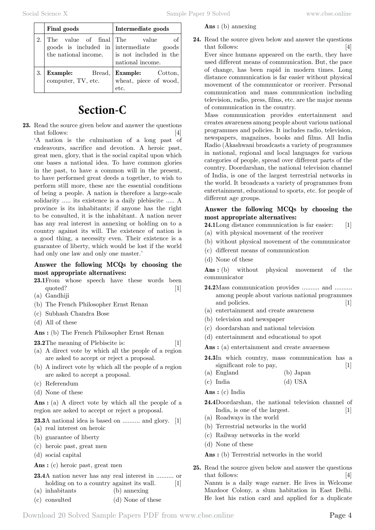#### **Ans :** (b) annexing

**Final goods Intermediate goods** 2. The value of final goods is included in the national income. The value of intermediate goods is not included in the national income. 3. **Example:** Bread, computer, TV, etc. **Example:** Cotton, wheat, piece of wood, etc.

# **Section-C**

**23.** Read the source given below and answer the questions that follows: [4]

'A nation is the culmination of a long past of endeavours, sacrifice and devotion. A heroic past, great men, glory, that is the social capital upon which one bases a national idea. To have common glories in the past, to have a common will in the present, to have performed great deeds a together, to wish to perform still more, these are the essential conditions of being a people. A nation is therefore a large-scale solidarity ..... its existence is a daily plebiscite ..... A province is its inhabitants; if anyone has the right to be consulted, it is the inhabitant. A nation never has any real interest in annexing or holding on to a country against its will. The existence of nation is a good thing, a necessity even. Their existence is a guarantee of liberty, which would be lost if the world had only one law and only one master.'

### **Answer the following MCQs by choosing the most appropriate alternatives:**

- **23.1**From whose speech have these words been quoted? [1]
- (a) Gandhiji
- (b) The French Philosopher Ernst Renan
- (c) Subhash Chandra Bose
- (d) All of these

 **Ans :** (b) The French Philosopher Ernst Renan

- **23.2**The meaning of Plebiscite is: [1]
- (a) A direct vote by which all the people of a region are asked to accept or reject a proposal.
- (b) A indirect vote by which all the people of a region are asked to accept a proposal.
- (c) Referendum
- (d) None of these

 **Ans :** (a) A direct vote by which all the people of a region are asked to accept or reject a proposal.

**23.3**A national idea is based on .......... and glory. [1] (a) real interest on heroic

- (b) guarantee of liberty
- (c) heroic past, great men
- (d) social capital

 **Ans :** (c) heroic past, great men

- **23.4**A nation never has any real interest in .......... or holding on to a country against its wall. [1]
- (a) inhabitants (b) annexing
- (c) consulted (d) None of these

**24.** Read the source given below and answer the questions that follows: [4] Ever since humans appeared on the earth, they have used different means of communication. But, the pace of change, has been rapid in modern times. Long distance communication is far easier without physical

movement of the communicator or receiver. Personal communication and mass communication including television, radio, press, films, etc. are the major means of communication in the country.

Mass communication provides entertainment and creates awareness among people about various national programmes and policies. It includes radio, television, newspapers, magazines, books and films. All India Radio (Akashwani broadcasts a variety of programmes in national, regional and local languages for various categories of people, spread over different parts of the country. Doordarshan, the national television channel of India, is one of the largest terrestrial networks in the world. It broadcasts a variety of programmes from entertainment, educational to sports, etc. for people of different age groups.

#### **Answer the following MCQs by choosing the most appropriate alternatives:**

**24.1**Long distance communication is far easier: [1]

- (a) with physical movement of the receiver
- (b) without physical movement of the communicator
- (c) different means of communication
- (d) None of these

 **Ans :** (b) without physical movement of the communicator

- **24.2**Mass communication provides .......... and .......... among people about various national programmes and policies. [1]
- (a) entertainment and create awareness
- (b) television and newspaper
- (c) doordarshan and national television
- (d) entertainment and educational to spot

 **Ans :** (a) entertainment and create awareness

- **24.3**In which country, mass communication has a significant role to pay, [1]
- (a) England (b) Japan
- (c) India (d) USA

 **Ans :** (c) India

- **24.4**Doordarshan, the national television channel of India, is one of the largest. [1]
- (a) Roadways in the world
- (b) Terrestrial networks in the world
- (c) Railway networks in the world
- (d) None of these

 **Ans :** (b) Terrestrial networks in the world

**25.** Read the source given below and answer the questions that follows: [4] Nannu is a daily wage earner. He lives in Welcome Mazdoor Colony, a slum habitation in East Delhi. He lost his ration card and applied for a duplicate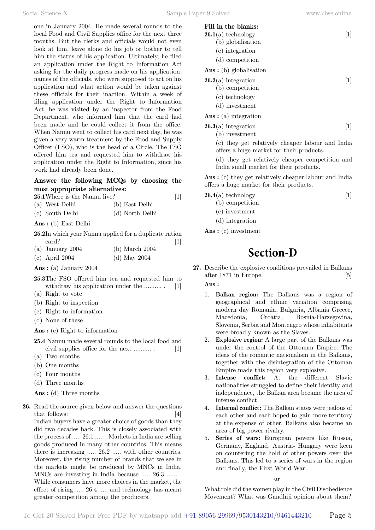one in January 2004. He made several rounds to the local Food and Civil Supplies office for the next three months. But the clerks and officials would not even look at him, leave alone do his job or bother to tell him the status of his application. Ultimately, he filed an application under the Right to Information Act asking for the daily progress made on his application, names of the officials, who were supposed to act on his application and what action would be taken against these officials for their inaction. Within a week of filing application under the Right to Information Act, he was visited by an inspector from the Food Department, who informed him that the card had been made and he could collect it from the office. When Nannu went to collect his card next day, he was given a very warm treatment by the Food and Supply Officer (FSO), who is the head of a Circle. The FSO offered him tea and requested him to withdraw his application under the Right to Information, since his work had already been done.

#### **Answer the following MCQs by choosing the most appropriate alternatives:**

| 25.1 Where is the Nannu live? |                |  |
|-------------------------------|----------------|--|
| (a) West Delhi                | (b) East Delhi |  |

| $\sqrt{ }$ |                 |                 |
|------------|-----------------|-----------------|
|            | (c) South Delhi | (d) North Delhi |

 **Ans :** (b) East Delhi

**25.2**In which year Nannu applied for a duplicate ration card? [1]

- (a) January 2004 (b) March 2004
- (c) April 2004 (d) May 2004

 **Ans :** (a) January 2004

- **25.3**The FSO offered him tea and requested him to withdraw his application under the .......... . [1]
- (a) Right to vote
- (b) Right to inspection
- (c) Right to information
- (d) None of these
- **Ans :** (c) Right to information
- **25.4** Nannu made several rounds to the local food and civil supplies office for the next .......... . [1]
- (a) Two months
- (b) One months
- (c) Four months
- (d) Three months

 **Ans :** (d) Three months

**26.** Read the source given below and answer the questions that follows: [4] Indian buyers have a greater choice of goods than they did two decades back. This is closely associated with

the process of ..... 26.1 ..... . Markets in India are selling goods produced in many other countries. This means there is increasing ..... 26.2 ..... with other countries. Moreover, the rising number of brands that we see in the markets might be produced by MNCs in India. MNCs are investing in India because ..... 26.3 ...... . While consumers have more choices in the market, the effect of rising ..... 26.4 ..... and technology has meant greater competition among the producers.

| Fill in the blanks:                |  |
|------------------------------------|--|
| $26.1(a)$ technology               |  |
| (b) globalisation                  |  |
| (c) integration                    |  |
| (d) competition                    |  |
| $\mathbf{Ans} :$ (b) globalisation |  |
| $26.2(a)$ integration              |  |

- (b) competition
- (c) technology
- (d) investment

 **Ans :** (a) integration

**26.3**(a) integration [1]

(b) investment

(c) they get relatively cheaper labour and India offers a huge market for their products.

(d) they get relatively cheaper competition and India small market for their products.

 **Ans :** (c) they get relatively cheaper labour and India offers a huge market for their products.

- **26.4**(a) technology [1] (b) competition (c) investment
	- (d) integration

 **Ans :** (c) investment

# **Section-D**

- **27.** Describe the explosive conditions prevailed in Balkans after 1871 in Europe. [5]  **Ans :**
	- 1. **Balkan region:** The Balkans was a region of geographical and ethnic variation comprising modern day Romania, Bulgaria, Albania Greece, Macedonia, Croatia, Bosnia-Harzegovina, Slovenia, Serbia and Montengro whose inhabitants were broadly known as the Slaves.
	- 2. **Explosive region:** A large part of the Balkans was under the control of the Ottoman Empire. The ideas of the romantic nationalism in the Balkans, together with the disintegration of the Ottoman Empire made this region very explosive.
	- Intense conflict: At the different Slavic nationalities struggled to define their identity and independence, the Balkan area became the area of intense conflict.
	- 4. **Internal conflict:** The Balkan states were jealous of each other and each hoped to gain more territory at the expense of other. Balkans also became an area of big power rivalry.
	- 5. **Series of wars:** European powers like Russia, Germany, England, Austria- Hungary were keen on countering the hold of other powers over the Balkans. This led to a series of wars in the region and finally, the First World War.

 **o**

What role did the women play in the Civil Disobedience Movement? What was Gandhiji opinion about them?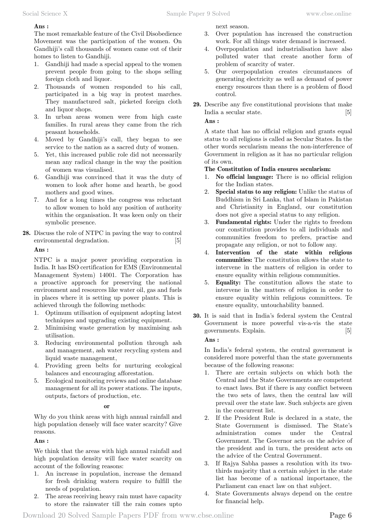### **Ans :**

The most remarkable feature of the Civil Disobedience Movement was the participation of the women. On Gandhiji's call thousands of women came out of their homes to listen to Gandhiji.

- 1. Gandhiji had made a special appeal to the women prevent people from going to the shops selling foreign cloth and liquor.
- 2. Thousands of women responded to his call, participated in a big way in protest marches. They manufactured salt, picketed foreign cloth and liquor shops.
- 3. In urban areas women were from high caste families. In rural areas they came from the rich peasant households.
- 4. Moved by Gandhiji's call, they began to see service to the nation as a sacred duty of women.
- 5. Yet, this increased public role did not necessarily mean any radical change in the way the position of women was visualised.
- 6. Gandhiji was convinced that it was the duty of women to look after home and hearth, be good mothers and good wines.
- 7. And for a long times the congress was reluctant to allow women to hold any position of authority within the organisation. It was keen only on their symbolic presence.
- **28.** Discuss the role of NTPC in paving the way to control environmental degradation. [5]

#### **Ans :**

NTPC is a major power providing corporation in India. It has ISO certification for EMS (Environmental Management System) 14001. The Corporation has a proactive approach for preserving the national environment and resources like water oil, gas and fuels in places where it is setting up power plants. This is achieved through the following methods:

- 1. Optimum utilisation of equipment adopting latest techniques and upgrading existing equipment.
- 2. Minimising waste generation by maximising ash utilisation.
- 3. Reducing environmental pollution through ash and management, ash water recycling system and liquid waste management,
- 4. Providing green belts for nurturing ecological balances and encouraging afforestation.
- 5. Ecological monitoring reviews and online database management for all its power stations. The inputs, outputs, factors of production, etc.

#### **o**

Why do you think areas with high annual rainfall and high population densely will face water scarcity? Give reasons.

### **Ans :**

We think that the areas with high annual rainfall and high population density will face water scarcity on account of the following reasons:

- 1. An increase in population, increase the demand for fresh drinking watern require to fulfill the needs of population.
- 2. The areas receiving heavy rain must have capacity to store the rainwater till the rain comes upto

next season.

- 3. Over population has increased the construction work. For all things water demand is increased.
- 4. Overpopulation and industrialisation have also polluted water that create another form of problem of scarcity of water.
- 5. Our overpopulation creates circumstances of generating electricity as well as demand of power energy resources than there is a problem of flood control.
- **29.** Describe any five constitutional provisions that make India a secular state. [5]

 **Ans :**

A state that has no official religion and grants equal status to all religions is called as Secular States. In the other words secularism means the non-interference of Government in religion as it has no particular religion of its own.

#### **The Constitution of India ensures secularism:**

- 1. **No official language:** There is no official religion for the Indian states.
- 2. **Special status to any religion:** Unlike the status of Buddhism in Sri Lanka, that of Islam in Pakistan and Christianity in England, our constitution does not give a special status to any religion.
- 3. **Fundamental rights:** Under the rights to freedom our constitution provides to all individuals and communities freedom to prefers, practise and propagate any religion, or not to follow any.
- 4. **Intervention of the state within religious communities:** The constitution allows the state to intervene in the matters of religion in order to ensure equality within religious communities.
- 5. **Equality:** The constitution allows the state to intervene in the matters of religion in order to ensure equality within religious committees. Te ensure equality, untouchability banned.
- **30.** It is said that in India's federal system the Central Government is more powerful vis-a-vis the state governments. Explain. [5]

### **Ans :**

In India's federal system, the central government is considered more powerful than the state governments because of the following reasons:

- 1. There are certain subjects on which both the Central and the State Governments are competent to enact laws. But if there is any conflict between the two sets of laws, then the central law will prevail over the state law. Such subjects are given in the concurrent list.
- 2. If the President Rule is declared in a state, the State Government is dismissed. The State's administration comes under the Central Government. The Governor acts on the advice of the president and in turn, the president acts on the advice of the Central Government.
- 3. If Rajya Sabha passes a resolution with its twothirds majority that a certain subject in the state list has become of a national importance, the Parliament can enact law on that subject.
- 4. State Governments always depend on the centre for financial help.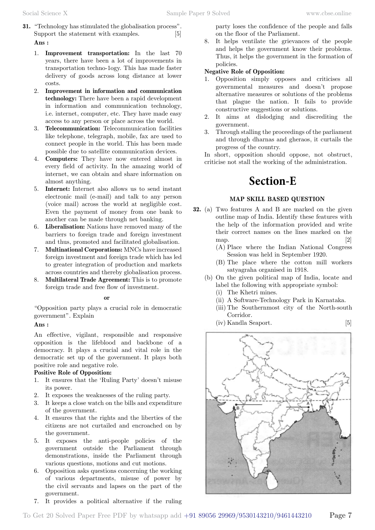- **31.** "Technology has stimulated the globalisation process". Support the statement with examples. [5]  **Ans :**
	- 1. **Improvement transportation:** In the last 70 years, there have been a lot of improvements in transportation techno-1ogy. This has made faster delivery of goods across long distance at lower costs.
	- 2. **Improvement in information and communication technology:** There have been a rapid development in information and communication technology, i.e. internet, computer, etc. They have made easy access to any person or place across the world.
	- 3. **Telecommunication:** Telecommunication facilities like telephone, telegraph, mobile, fax are used to connect people in the world. This has been made possible due to satellite communication devices.
	- 4. **Computers:** They have now entered almost in every field of activity. In the amazing world of internet, we can obtain and share information on almost anything.
	- 5. **Internet:** Internet also allows us to send instant electronic mail (e-mail) and talk to any person (voice mail) across the world at negligible cost. Even the payment of money from one bank to another can be made through net banking.
	- 6. **Liberalisation:** Nations have removed many of the barriers to foreign trade and foreign investment and thus, promoted and facilitated globalisation.
	- 7. **Multinational Corporations:** MNCs have increased foreign investment and foreign trade which has led to greater integration of production and markets across countries and thereby globalisation process.
	- 8. **Multilateral Trade Agreement:** This is to promote foreign trade and free flow of investment.

#### **o**

"Opposition party plays a crucial role in democratic government". Explain

#### **Ans :**

An effective, vigilant, responsible and responsive opposition is the lifeblood and backbone of a democracy. It plays a crucial and vital role in the democratic set up of the government. It plays both positive role and negative role.

#### **Positive Role of Opposition:**

- 1. It ensures that the 'Ruling Party' doesn't misuse its power.
- 2. It exposes the weaknesses of the ruling party.
- 3. It keeps a close watch on the bills and expenditure of the government.
- 4. It ensures that the rights and the liberties of the citizens are not curtailed and encroached on by the government.
- 5. It exposes the anti-people policies of the government outside the Parliament through demonstrations, inside the Parliament through various questions, motions and cut motions.
- 6. Opposition asks questions concerning the working of various departments, misuse of power by the civil servants and lapses on the part of the government.
- 7. It provides a political alternative if the ruling

party loses the confidence of the people and falls on the floor of the Parliament.

8. It helps ventilate the grievances of the people and helps the government know their problems. Thus, it helps the government in the formation of policies.

#### **Negative Role of Opposition:**

- 1. Opposition simply opposes and criticises all governmental measures and doesn't propose alternative measures or solutions of the problems that plague the nation. It fails to provide constructive suggestions or solutions.
- 2. It aims at dislodging and discrediting the government.
- 3. Through stalling the proceedings of the parliament and through dharnas and gheraos, it curtails the progress of the country.

In short, opposition should oppose, not obstruct, criticise not stall the working of the administration.

# **Section-E**

### **MAP SKILL BASED QUESTIO**

- **32.** (a) Two features A and B are marked on the given outline map of India. Identify these features with the help of the information provided and write their correct names on the lines marked on the map.  $[2]$ 
	- (A) Place where the Indian National Congress Session was held in September 1920.
	- (B) The place where the cotton mill workers satyagraha organised in 1918.
	- (b) On the given political map of India, locate and label the following with appropriate symbol:
		- (i) The Khetri mines.
		- (ii) A Software-Technology Park in Karnataka.
		- (iii) The Southernmost city of the North-south Corridor.
		- (iv) Kandla Seaport. [5]